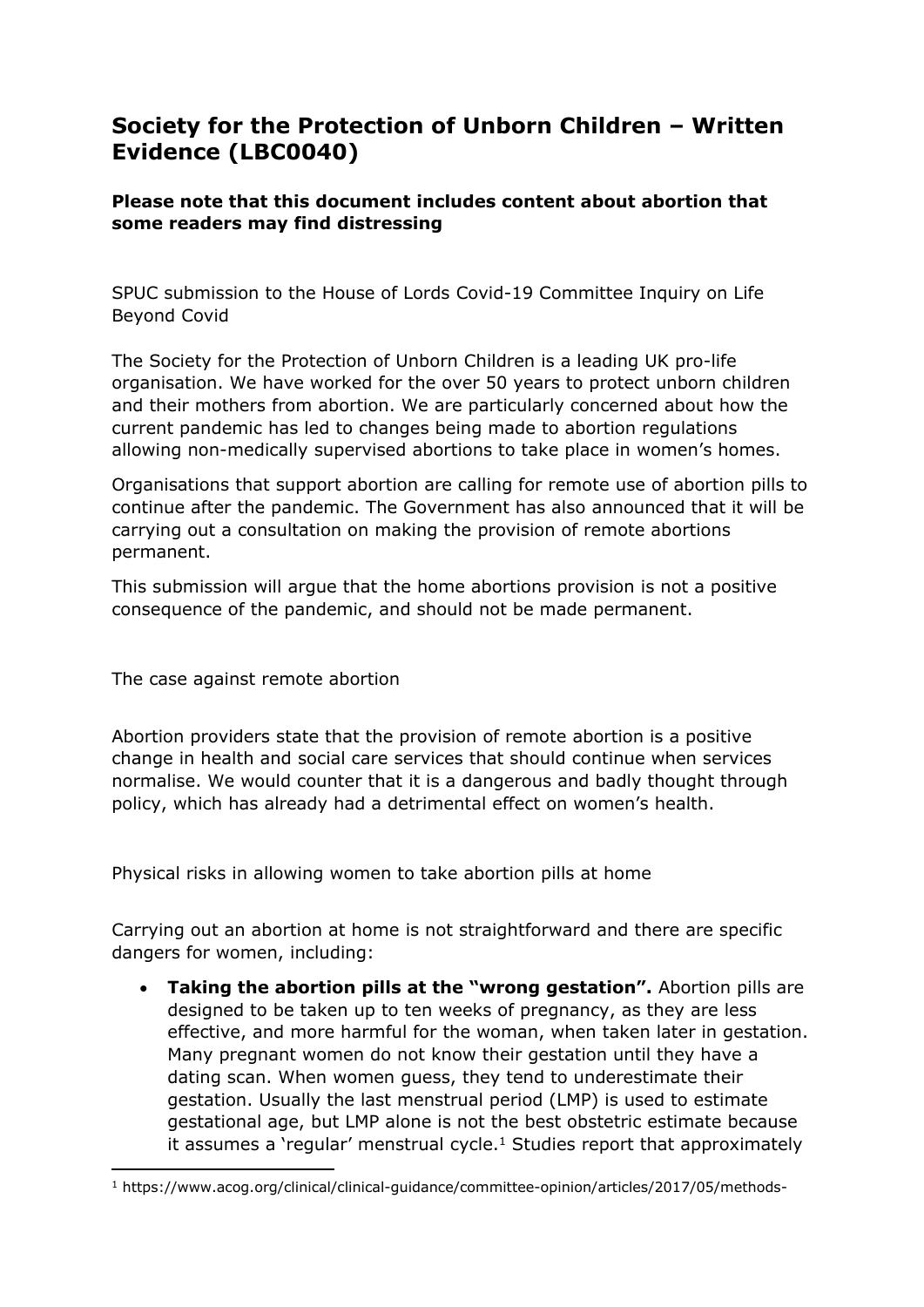## **Society for the Protection of Unborn Children – Written Evidence (LBC0040)**

## **Please note that this document includes content about abortion that some readers may find distressing**

SPUC submission to the House of Lords Covid-19 Committee Inquiry on Life Beyond Covid

The Society for the Protection of Unborn Children is a leading UK pro-life organisation. We have worked for the over 50 years to protect unborn children and their mothers from abortion. We are particularly concerned about how the current pandemic has led to changes being made to abortion regulations allowing non-medically supervised abortions to take place in women's homes.

Organisations that support abortion are calling for remote use of abortion pills to continue after the pandemic. The Government has also announced that it will be carrying out a consultation on making the provision of remote abortions permanent.

This submission will argue that the home abortions provision is not a positive consequence of the pandemic, and should not be made permanent.

The case against remote abortion

Abortion providers state that the provision of remote abortion is a positive change in health and social care services that should continue when services normalise. We would counter that it is a dangerous and badly thought through policy, which has already had a detrimental effect on women's health.

Physical risks in allowing women to take abortion pills at home

Carrying out an abortion at home is not straightforward and there are specific dangers for women, including:

 **Taking the abortion pills at the "wrong gestation".** Abortion pills are designed to be taken up to ten weeks of pregnancy, as they are less effective, and more harmful for the woman, when taken later in gestation. Many pregnant women do not know their gestation until they have a dating scan. When women guess, they tend to underestimate their gestation. Usually the last menstrual period (LMP) is used to estimate gestational age, but LMP alone is not the best obstetric estimate because it assumes a 'regular' menstrual cycle.<sup>1</sup> Studies report that approximately

<sup>1</sup> https://www.acog.org/clinical/clinical-guidance/committee-opinion/articles/2017/05/methods-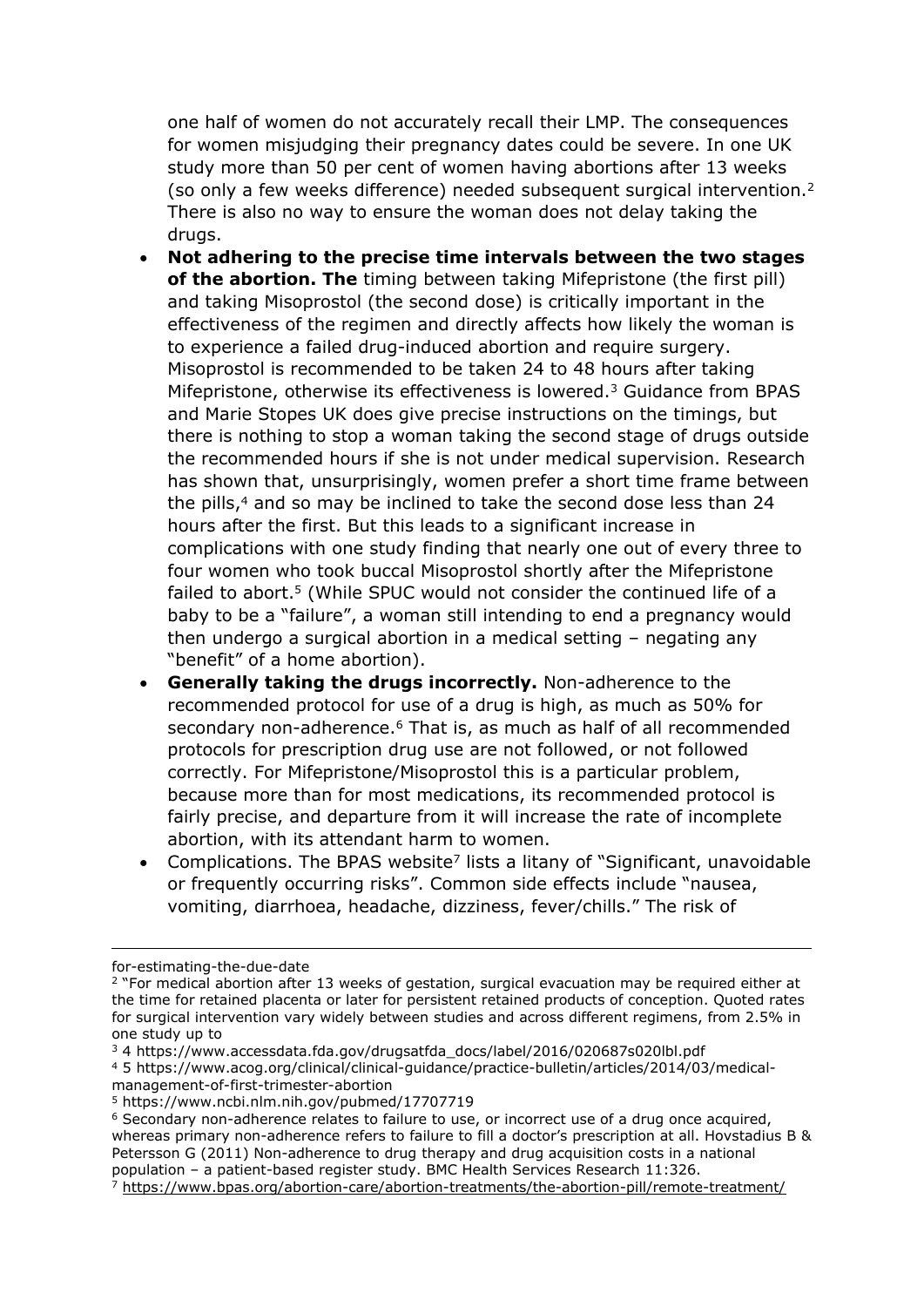one half of women do not accurately recall their LMP. The consequences for women misjudging their pregnancy dates could be severe. In one UK study more than 50 per cent of women having abortions after 13 weeks (so only a few weeks difference) needed subsequent surgical intervention.<sup>2</sup> There is also no way to ensure the woman does not delay taking the drugs.

- **Not adhering to the precise time intervals between the two stages of the abortion. The** timing between taking Mifepristone (the first pill) and taking Misoprostol (the second dose) is critically important in the effectiveness of the regimen and directly affects how likely the woman is to experience a failed drug-induced abortion and require surgery. Misoprostol is recommended to be taken 24 to 48 hours after taking Mifepristone, otherwise its effectiveness is lowered.<sup>3</sup> Guidance from BPAS and Marie Stopes UK does give precise instructions on the timings, but there is nothing to stop a woman taking the second stage of drugs outside the recommended hours if she is not under medical supervision. Research has shown that, unsurprisingly, women prefer a short time frame between the pills,<sup>4</sup> and so may be inclined to take the second dose less than 24 hours after the first. But this leads to a significant increase in complications with one study finding that nearly one out of every three to four women who took buccal Misoprostol shortly after the Mifepristone failed to abort.<sup>5</sup> (While SPUC would not consider the continued life of a baby to be a "failure", a woman still intending to end a pregnancy would then undergo a surgical abortion in a medical setting – negating any "benefit" of a home abortion).
- **Generally taking the drugs incorrectly.** Non-adherence to the recommended protocol for use of a drug is high, as much as 50% for secondary non-adherence.<sup>6</sup> That is, as much as half of all recommended protocols for prescription drug use are not followed, or not followed correctly. For Mifepristone/Misoprostol this is a particular problem, because more than for most medications, its recommended protocol is fairly precise, and departure from it will increase the rate of incomplete abortion, with its attendant harm to women.
- Complications. The BPAS website<sup>7</sup> lists a litany of "Significant, unavoidable or frequently occurring risks". Common side effects include "nausea, vomiting, diarrhoea, headache, dizziness, fever/chills." The risk of

for-estimating-the-due-date

<sup>&</sup>lt;sup>2</sup> "For medical abortion after 13 weeks of gestation, surgical evacuation may be required either at the time for retained placenta or later for persistent retained products of conception. Quoted rates for surgical intervention vary widely between studies and across different regimens, from 2.5% in one study up to

<sup>3</sup> 4 https://www.accessdata.fda.gov/drugsatfda\_docs/label/2016/020687s020lbl.pdf

<sup>4</sup> 5 https://www.acog.org/clinical/clinical-guidance/practice-bulletin/articles/2014/03/medical-

management-of-first-trimester-abortion

<sup>5</sup> https://www.ncbi.nlm.nih.gov/pubmed/17707719

<sup>6</sup> Secondary non-adherence relates to failure to use, or incorrect use of a drug once acquired, whereas primary non-adherence refers to failure to fill a doctor's prescription at all. Hovstadius B & Petersson G (2011) Non-adherence to drug therapy and drug acquisition costs in a national population – a patient-based register study. BMC Health Services Research 11:326.

<sup>7</sup> <https://www.bpas.org/abortion-care/abortion-treatments/the-abortion-pill/remote-treatment/>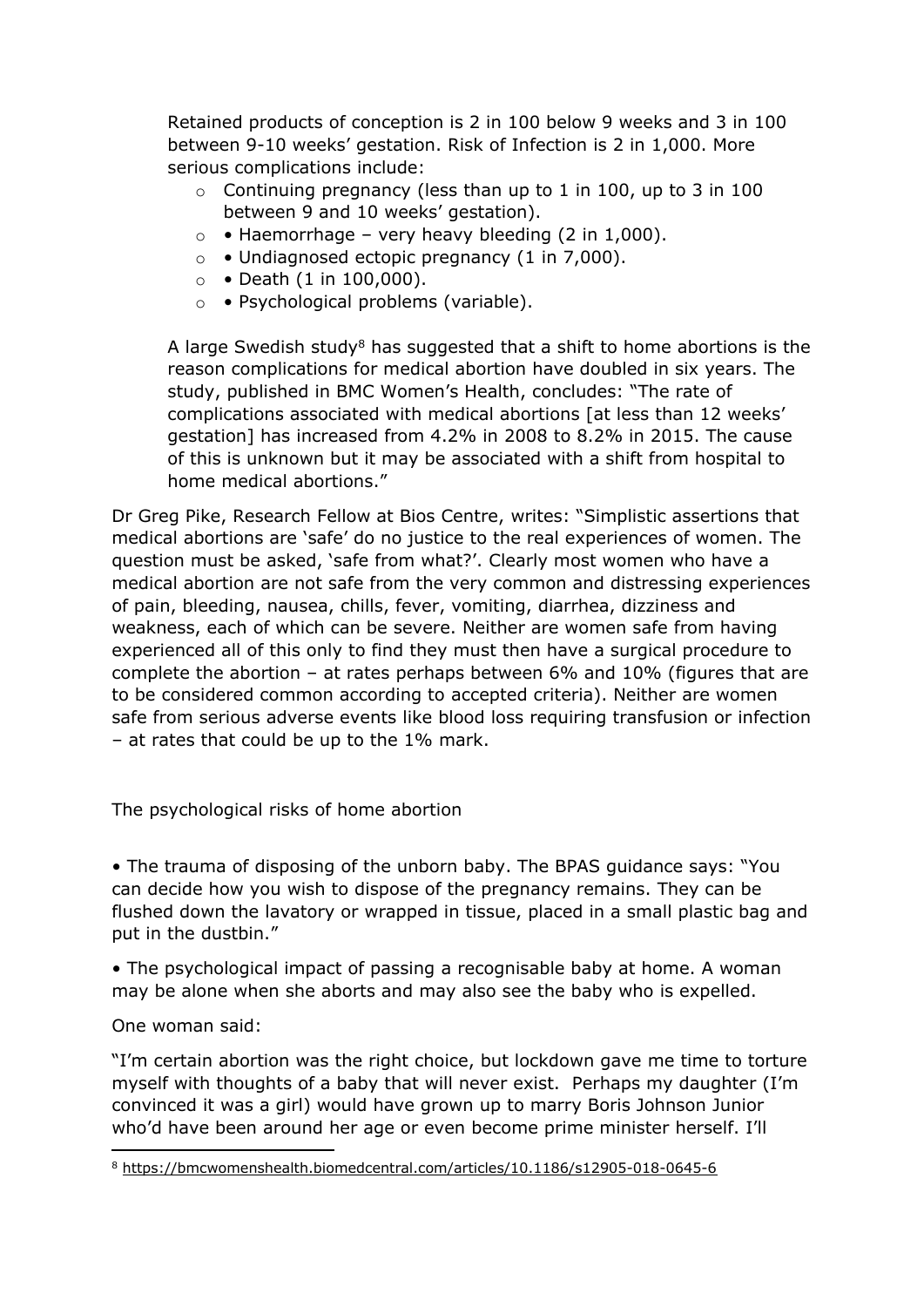Retained products of conception is 2 in 100 below 9 weeks and 3 in 100 between 9-10 weeks' gestation. Risk of Infection is 2 in 1,000. More serious complications include:

- $\circ$  Continuing pregnancy (less than up to 1 in 100, up to 3 in 100 between 9 and 10 weeks' gestation).
- $\circ \bullet$  Haemorrhage very heavy bleeding (2 in 1,000).
- $\circ \cdot$  Undiagnosed ectopic pregnancy (1 in 7,000).
- $\circ$  Death (1 in 100,000).
- o Psychological problems (variable).

A large Swedish study<sup>8</sup> has suggested that a shift to home abortions is the reason complications for medical abortion have doubled in six years. The study, published in BMC Women's Health, concludes: "The rate of complications associated with medical abortions [at less than 12 weeks' gestation] has increased from 4.2% in 2008 to 8.2% in 2015. The cause of this is unknown but it may be associated with a shift from hospital to home medical abortions."

Dr Greg Pike, Research Fellow at Bios Centre, writes: "Simplistic assertions that medical abortions are 'safe' do no justice to the real experiences of women. The question must be asked, 'safe from what?'. Clearly most women who have a medical abortion are not safe from the very common and distressing experiences of pain, bleeding, nausea, chills, fever, vomiting, diarrhea, dizziness and weakness, each of which can be severe. Neither are women safe from having experienced all of this only to find they must then have a surgical procedure to complete the abortion – at rates perhaps between 6% and 10% (figures that are to be considered common according to accepted criteria). Neither are women safe from serious adverse events like blood loss requiring transfusion or infection – at rates that could be up to the 1% mark.

The psychological risks of home abortion

• The trauma of disposing of the unborn baby. The BPAS guidance says: "You can decide how you wish to dispose of the pregnancy remains. They can be flushed down the lavatory or wrapped in tissue, placed in a small plastic bag and put in the dustbin."

• The psychological impact of passing a recognisable baby at home. A woman may be alone when she aborts and may also see the baby who is expelled.

One woman said:

"I'm certain abortion was the right choice, but lockdown gave me time to torture myself with thoughts of a baby that will never exist. Perhaps my daughter (I'm convinced it was a girl) would have grown up to marry Boris Johnson Junior who'd have been around her age or even become prime minister herself. I'll

<sup>8</sup> <https://bmcwomenshealth.biomedcentral.com/articles/10.1186/s12905-018-0645-6>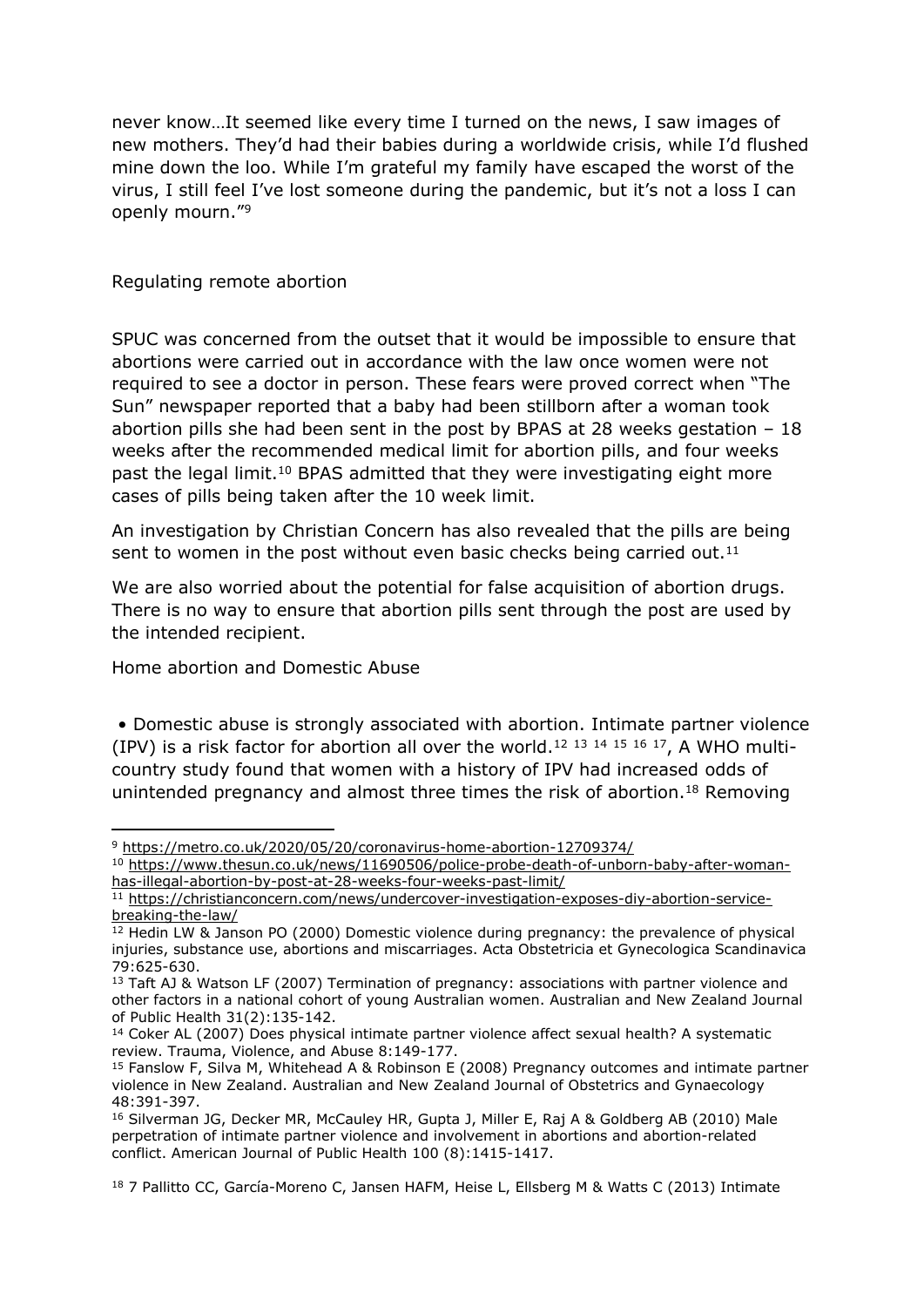never know…It seemed like every time I turned on the news, I saw images of new mothers. They'd had their babies during a worldwide crisis, while I'd flushed mine down the loo. While I'm grateful my family have escaped the worst of the virus, I still feel I've lost someone during the pandemic, but it's not a loss I can openly mourn."<sup>9</sup>

Regulating remote abortion

SPUC was concerned from the outset that it would be impossible to ensure that abortions were carried out in accordance with the law once women were not required to see a doctor in person. These fears were proved correct when "The Sun" newspaper reported that a baby had been stillborn after a woman took abortion pills she had been sent in the post by BPAS at 28 weeks gestation – 18 weeks after the recommended medical limit for abortion pills, and four weeks past the legal limit.<sup>10</sup> BPAS admitted that they were investigating eight more cases of pills being taken after the 10 week limit.

An investigation by Christian Concern has also revealed that the pills are being sent to women in the post without even basic checks being carried out.<sup>11</sup>

We are also worried about the potential for false acquisition of abortion drugs. There is no way to ensure that abortion pills sent through the post are used by the intended recipient.

Home abortion and Domestic Abuse

• Domestic abuse is strongly associated with abortion. Intimate partner violence (IPV) is a risk factor for abortion all over the world.<sup>12 13 14 15 16 17</sup>, A WHO multicountry study found that women with a history of IPV had increased odds of unintended pregnancy and almost three times the risk of abortion.<sup>18</sup> Removing

<sup>9</sup> <https://metro.co.uk/2020/05/20/coronavirus-home-abortion-12709374/>

<sup>10</sup> [https://www.thesun.co.uk/news/11690506/police-probe-death-of-unborn-baby-after-woman](https://www.thesun.co.uk/news/11690506/police-probe-death-of-unborn-baby-after-woman-has-illegal-abortion-by-post-at-28-weeks-four-weeks-past-limit/)[has-illegal-abortion-by-post-at-28-weeks-four-weeks-past-limit/](https://www.thesun.co.uk/news/11690506/police-probe-death-of-unborn-baby-after-woman-has-illegal-abortion-by-post-at-28-weeks-four-weeks-past-limit/)

<sup>11</sup> [https://christianconcern.com/news/undercover-investigation-exposes-diy-abortion-service](https://christianconcern.com/news/undercover-investigation-exposes-diy-abortion-service-breaking-the-law/)[breaking-the-law/](https://christianconcern.com/news/undercover-investigation-exposes-diy-abortion-service-breaking-the-law/)

 $12$  Hedin LW & Janson PO (2000) Domestic violence during pregnancy: the prevalence of physical injuries, substance use, abortions and miscarriages. Acta Obstetricia et Gynecologica Scandinavica 79:625-630.

 $13$  Taft AJ & Watson LF (2007) Termination of pregnancy: associations with partner violence and other factors in a national cohort of young Australian women. Australian and New Zealand Journal of Public Health 31(2):135-142.

<sup>&</sup>lt;sup>14</sup> Coker AL (2007) Does physical intimate partner violence affect sexual health? A systematic review. Trauma, Violence, and Abuse 8:149-177.

<sup>&</sup>lt;sup>15</sup> Fanslow F, Silva M, Whitehead A & Robinson E (2008) Pregnancy outcomes and intimate partner violence in New Zealand. Australian and New Zealand Journal of Obstetrics and Gynaecology 48:391-397.

<sup>&</sup>lt;sup>16</sup> Silverman JG, Decker MR, McCauley HR, Gupta J, Miller E, Raj A & Goldberg AB (2010) Male perpetration of intimate partner violence and involvement in abortions and abortion-related conflict. American Journal of Public Health 100 (8):1415-1417.

<sup>&</sup>lt;sup>18</sup> 7 Pallitto CC, García-Moreno C, Jansen HAFM, Heise L, Ellsberg M & Watts C (2013) Intimate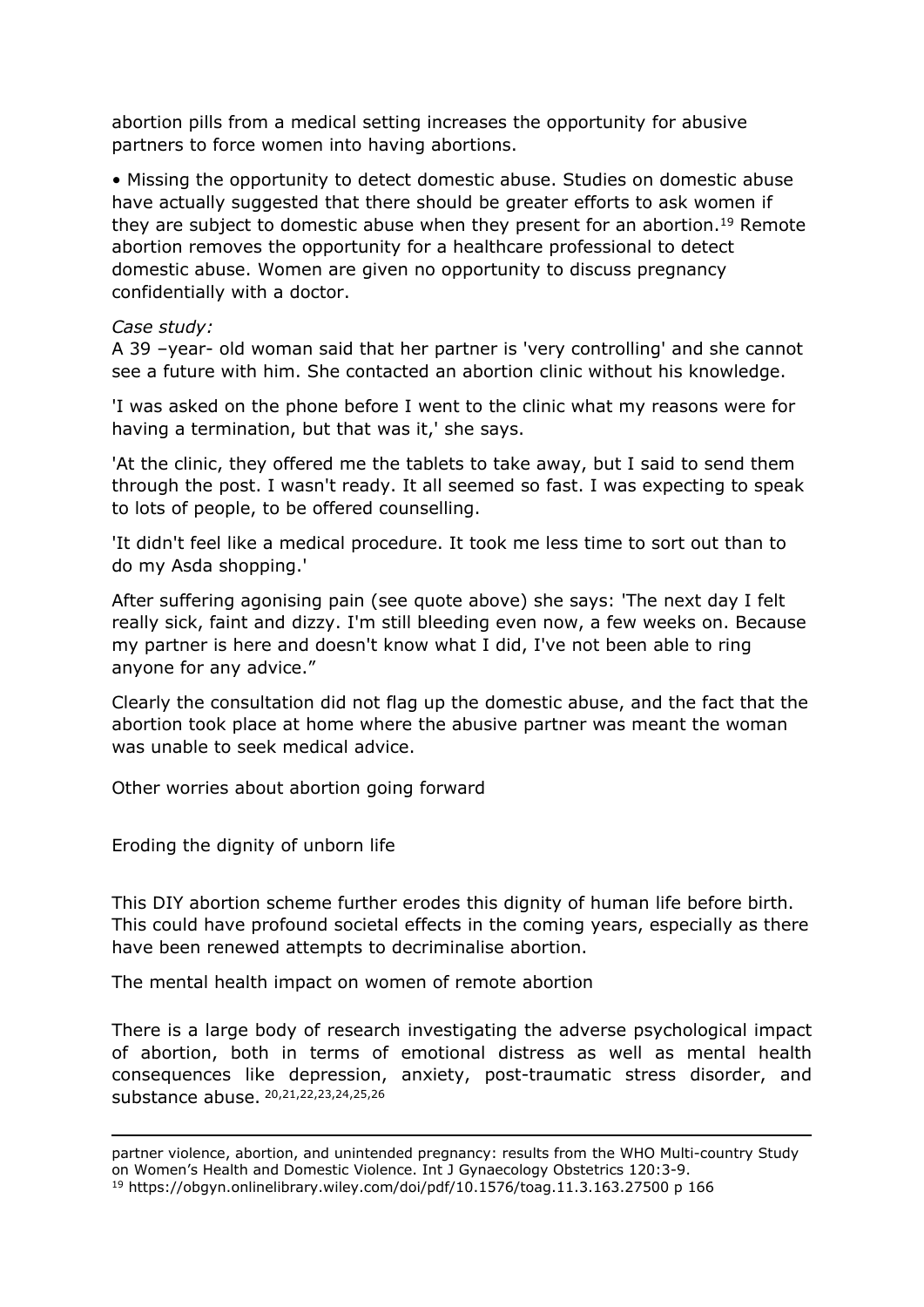abortion pills from a medical setting increases the opportunity for abusive partners to force women into having abortions.

• Missing the opportunity to detect domestic abuse. Studies on domestic abuse have actually suggested that there should be greater efforts to ask women if they are subject to domestic abuse when they present for an abortion.<sup>19</sup> Remote abortion removes the opportunity for a healthcare professional to detect domestic abuse. Women are given no opportunity to discuss pregnancy confidentially with a doctor.

## *Case study:*

A 39 –year- old woman said that her partner is 'very controlling' and she cannot see a future with him. She contacted an abortion clinic without his knowledge.

'I was asked on the phone before I went to the clinic what my reasons were for having a termination, but that was it,' she says.

'At the clinic, they offered me the tablets to take away, but I said to send them through the post. I wasn't ready. It all seemed so fast. I was expecting to speak to lots of people, to be offered counselling.

'It didn't feel like a medical procedure. It took me less time to sort out than to do my Asda shopping.'

After suffering agonising pain (see quote above) she says: 'The next day I felt really sick, faint and dizzy. I'm still bleeding even now, a few weeks on. Because my partner is here and doesn't know what I did, I've not been able to ring anyone for any advice."

Clearly the consultation did not flag up the domestic abuse, and the fact that the abortion took place at home where the abusive partner was meant the woman was unable to seek medical advice.

Other worries about abortion going forward

Eroding the dignity of unborn life

This DIY abortion scheme further erodes this dignity of human life before birth. This could have profound societal effects in the coming years, especially as there have been renewed attempts to decriminalise abortion.

The mental health impact on women of remote abortion

There is a large body of research investigating the adverse psychological impact of abortion, both in terms of emotional distress as well as mental health consequences like depression, anxiety, post-traumatic stress disorder, and substance abuse. 20,21,22,23,24,25,26

partner violence, abortion, and unintended pregnancy: results from the WHO Multi-country Study on Women's Health and Domestic Violence. Int J Gynaecology Obstetrics 120:3-9. <sup>19</sup> https://obgyn.onlinelibrary.wiley.com/doi/pdf/10.1576/toag.11.3.163.27500 p 166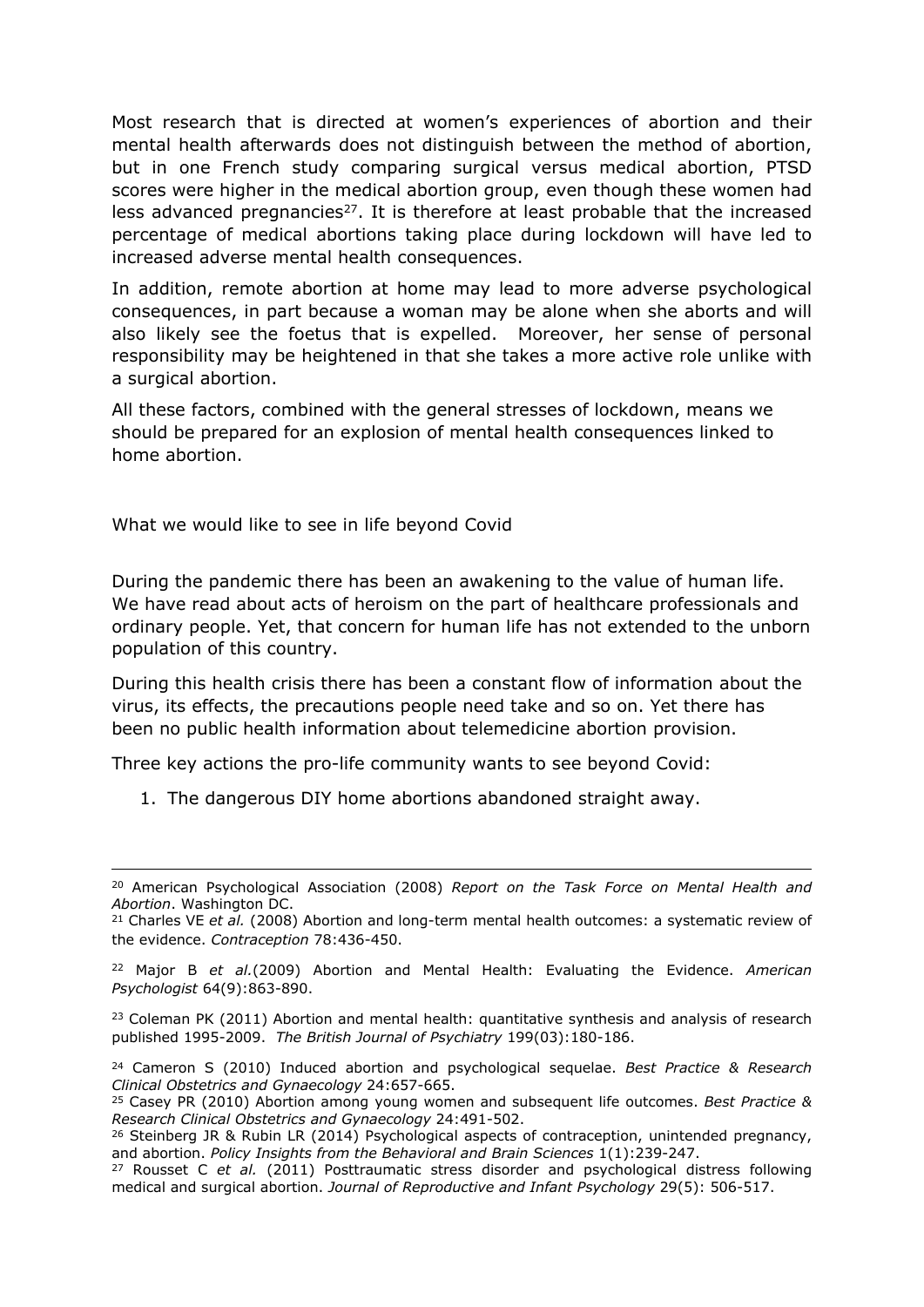Most research that is directed at women's experiences of abortion and their mental health afterwards does not distinguish between the method of abortion, but in one French study comparing surgical versus medical abortion, PTSD scores were higher in the medical abortion group, even though these women had less advanced pregnancies<sup>27</sup>. It is therefore at least probable that the increased percentage of medical abortions taking place during lockdown will have led to increased adverse mental health consequences.

In addition, remote abortion at home may lead to more adverse psychological consequences, in part because a woman may be alone when she aborts and will also likely see the foetus that is expelled. Moreover, her sense of personal responsibility may be heightened in that she takes a more active role unlike with a surgical abortion.

All these factors, combined with the general stresses of lockdown, means we should be prepared for an explosion of mental health consequences linked to home abortion.

What we would like to see in life beyond Covid

During the pandemic there has been an awakening to the value of human life. We have read about acts of heroism on the part of healthcare professionals and ordinary people. Yet, that concern for human life has not extended to the unborn population of this country.

During this health crisis there has been a constant flow of information about the virus, its effects, the precautions people need take and so on. Yet there has been no public health information about telemedicine abortion provision.

Three key actions the pro-life community wants to see beyond Covid:

1. The dangerous DIY home abortions abandoned straight away.

<sup>20</sup> American Psychological Association (2008) *Report on the Task Force on Mental Health and Abortion*. Washington DC.

<sup>21</sup> Charles VE *et al.* (2008) Abortion and long-term mental health outcomes: a systematic review of the evidence. *Contraception* 78:436-450.

<sup>22</sup> Major B *et al.*(2009) Abortion and Mental Health: Evaluating the Evidence. *American Psychologist* 64(9):863-890.

<sup>&</sup>lt;sup>23</sup> Coleman PK (2011) Abortion and mental health: quantitative synthesis and analysis of research published 1995-2009. *The British Journal of Psychiatry* 199(03):180-186.

<sup>24</sup> Cameron S (2010) Induced abortion and psychological sequelae. *Best Practice & Research Clinical Obstetrics and Gynaecology* 24:657-665.

<sup>25</sup> Casey PR (2010) Abortion among young women and subsequent life outcomes. *Best Practice & Research Clinical Obstetrics and Gynaecology* 24:491-502.

<sup>&</sup>lt;sup>26</sup> Steinberg JR & Rubin LR (2014) Psychological aspects of contraception, unintended pregnancy, and abortion. *Policy Insights from the Behavioral and Brain Sciences* 1(1):239-247.

<sup>27</sup> Rousset C *et al.* (2011) Posttraumatic stress disorder and psychological distress following medical and surgical abortion. *Journal of Reproductive and Infant Psychology* 29(5): 506-517.